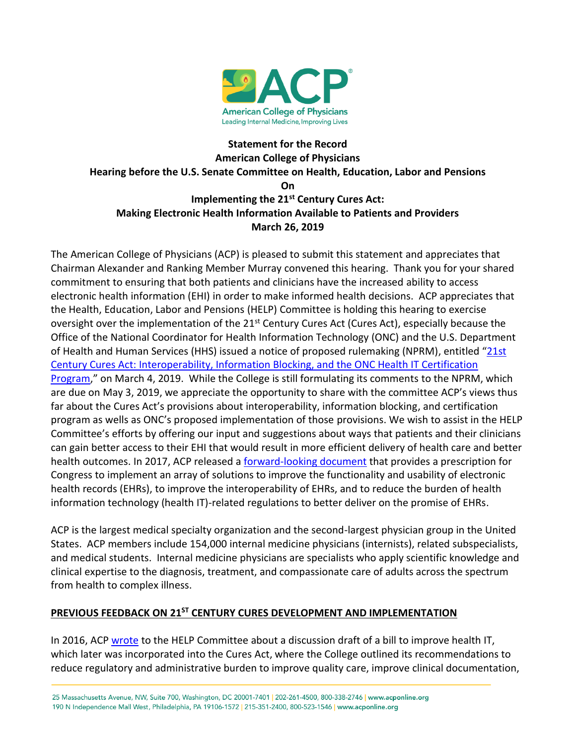

## **Statement for the Record American College of Physicians Hearing before the U.S. Senate Committee on Health, Education, Labor and Pensions On Implementing the 21st Century Cures Act: Making Electronic Health Information Available to Patients and Providers March 26, 2019**

The American College of Physicians (ACP) is pleased to submit this statement and appreciates that Chairman Alexander and Ranking Member Murray convened this hearing. Thank you for your shared commitment to ensuring that both patients and clinicians have the increased ability to access electronic health information (EHI) in order to make informed health decisions. ACP appreciates that the Health, Education, Labor and Pensions (HELP) Committee is holding this hearing to exercise oversight over the implementation of the 21<sup>st</sup> Century Cures Act (Cures Act), especially because the Office of the National Coordinator for Health Information Technology (ONC) and the U.S. Department of Health and Human Services (HHS) issued a notice of proposed rulemaking (NPRM), entitled "[21st](https://www.govinfo.gov/content/pkg/FR-2019-03-04/pdf/2019-02224.pdf)  Century Cures Act: [Interoperability, Information Blocking, and the ONC Health IT Certification](https://www.govinfo.gov/content/pkg/FR-2019-03-04/pdf/2019-02224.pdf)  [Program,](https://www.govinfo.gov/content/pkg/FR-2019-03-04/pdf/2019-02224.pdf)" on March 4, 2019. While the College is still formulating its comments to the NPRM, which are due on May 3, 2019, we appreciate the opportunity to share with the committee ACP's views thus far about the Cures Act's provisions about interoperability, information blocking, and certification program as wells as ONC's proposed implementation of those provisions. We wish to assist in the HELP Committee's efforts by offering our input and suggestions about ways that patients and their clinicians can gain better access to their EHI that would result in more efficient delivery of health care and better health outcomes. In 2017, ACP released a [forward-looking document](https://www.acponline.org/acp_policy/policies/forward_looking_policy_agenda_2017.pdf) that provides a prescription for Congress to implement an array of solutions to improve the functionality and usability of electronic health records (EHRs), to improve the interoperability of EHRs, and to reduce the burden of health information technology (health IT)-related regulations to better deliver on the promise of EHRs.

ACP is the largest medical specialty organization and the second-largest physician group in the United States. ACP members include 154,000 internal medicine physicians (internists), related subspecialists, and medical students. Internal medicine physicians are specialists who apply scientific knowledge and clinical expertise to the diagnosis, treatment, and compassionate care of adults across the spectrum from health to complex illness.

## **PREVIOUS FEEDBACK ON 21ST CENTURY CURES DEVELOPMENT AND IMPLEMENTATION**

In 2016, ACP [wrote](https://www.acponline.org/acp_policy/letters/acp_letter_senate_help_hit_discussion_draft_2016.pdf) to the HELP Committee about a discussion draft of a bill to improve health IT, which later was incorporated into the Cures Act, where the College outlined its recommendations to reduce regulatory and administrative burden to improve quality care, improve clinical documentation,

25 Massachusetts Avenue, NW, Suite 700, Washington, DC 20001-7401 | 202-261-4500, 800-338-2746 | www.acponline.org 190 N Independence Mall West, Philadelphia, PA 19106-1572 | 215-351-2400, 800-523-1546 | www.acponline.org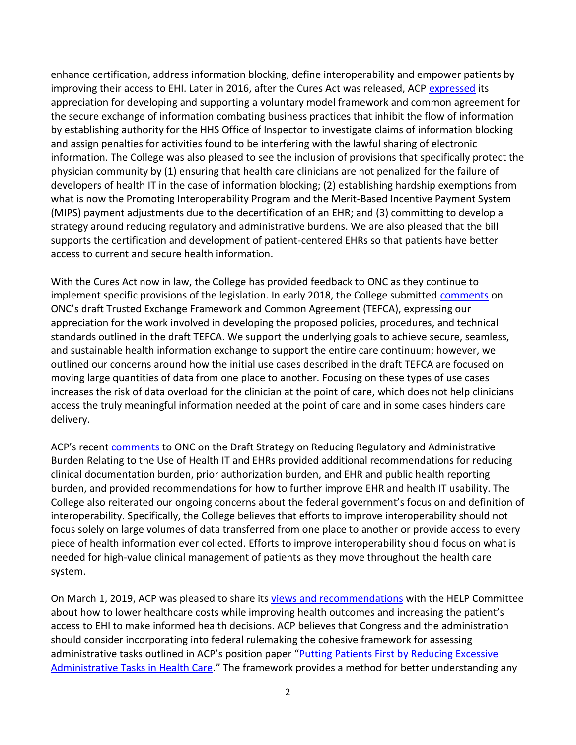enhance certification, address information blocking, define interoperability and empower patients by improving their access to EHI. Later in 2016, after the Cures Act was released, ACP [expressed](https://www.acponline.org/acp_policy/letters/letter_house_senate_leaders_21st_century_cures_act_2016.pdf) its appreciation for developing and supporting a voluntary model framework and common agreement for the secure exchange of information combating business practices that inhibit the flow of information by establishing authority for the HHS Office of Inspector to investigate claims of information blocking and assign penalties for activities found to be interfering with the lawful sharing of electronic information. The College was also pleased to see the inclusion of provisions that specifically protect the physician community by (1) ensuring that health care clinicians are not penalized for the failure of developers of health IT in the case of information blocking; (2) establishing hardship exemptions from what is now the Promoting Interoperability Program and the Merit-Based Incentive Payment System (MIPS) payment adjustments due to the decertification of an EHR; and (3) committing to develop a strategy around reducing regulatory and administrative burdens. We are also pleased that the bill supports the certification and development of patient-centered EHRs so that patients have better access to current and secure health information.

With the Cures Act now in law, the College has provided feedback to ONC as they continue to implement specific provisions of the legislation. In early 2018, the College submitted [comments](https://www.acponline.org/acp_policy/letters/comments_on_onc_draft_trusted_exchange_framework_and_common_agreement_2018.pdf) on ONC's draft Trusted Exchange Framework and Common Agreement (TEFCA), expressing our appreciation for the work involved in developing the proposed policies, procedures, and technical standards outlined in the draft TEFCA. We support the underlying goals to achieve secure, seamless, and sustainable health information exchange to support the entire care continuum; however, we outlined our concerns around how the initial use cases described in the draft TEFCA are focused on moving large quantities of data from one place to another. Focusing on these types of use cases increases the risk of data overload for the clinician at the point of care, which does not help clinicians access the truly meaningful information needed at the point of care and in some cases hinders care delivery.

ACP's recent [comments](https://www.acponline.org/acp_policy/letters/acp_comments_on_onc_draft_health_it_burden_reduction_strategy_2019.pdf) to ONC on the Draft Strategy on Reducing Regulatory and Administrative Burden Relating to the Use of Health IT and EHRs provided additional recommendations for reducing clinical documentation burden, prior authorization burden, and EHR and public health reporting burden, and provided recommendations for how to further improve EHR and health IT usability. The College also reiterated our ongoing concerns about the federal government's focus on and definition of interoperability. Specifically, the College believes that efforts to improve interoperability should not focus solely on large volumes of data transferred from one place to another or provide access to every piece of health information ever collected. Efforts to improve interoperability should focus on what is needed for high-value clinical management of patients as they move throughout the health care system.

On March 1, 2019, ACP was pleased to share its [views and recommendations](https://www.acponline.org/acp_policy/letters/acp_response_to_help_cmte_RFI_re_health_care_costs_2019.pdf) with the HELP Committee about how to lower healthcare costs while improving health outcomes and increasing the patient's access to EHI to make informed health decisions. ACP believes that Congress and the administration should consider incorporating into federal rulemaking the cohesive framework for assessing administrative tasks outlined in ACP's position paper "[Putting Patients First by Reducing Excessive](https://annals.org/aim/fullarticle/2614079/putting-patients-first-reducing-administrative-tasks-health-care-position-paper)  [Administrative Tasks in Health Care.](https://annals.org/aim/fullarticle/2614079/putting-patients-first-reducing-administrative-tasks-health-care-position-paper)" The framework provides a method for better understanding any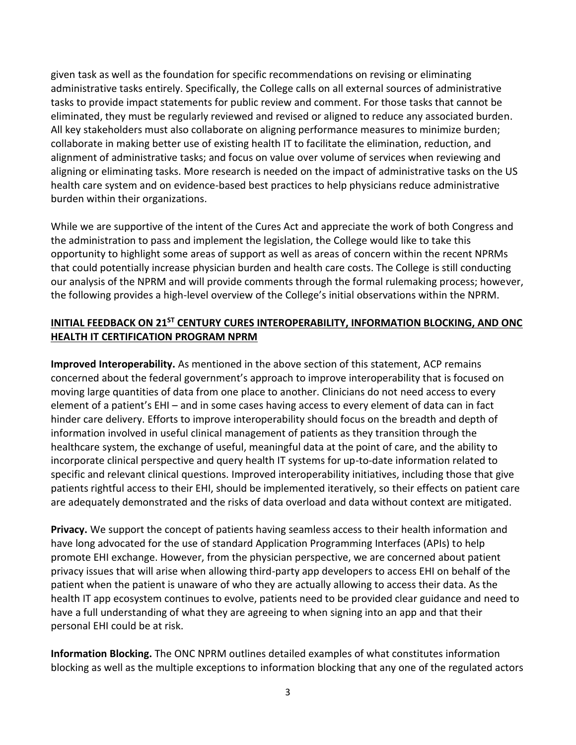given task as well as the foundation for specific recommendations on revising or eliminating administrative tasks entirely. Specifically, the College calls on all external sources of administrative tasks to provide impact statements for public review and comment. For those tasks that cannot be eliminated, they must be regularly reviewed and revised or aligned to reduce any associated burden. All key stakeholders must also collaborate on aligning performance measures to minimize burden; collaborate in making better use of existing health IT to facilitate the elimination, reduction, and alignment of administrative tasks; and focus on value over volume of services when reviewing and aligning or eliminating tasks. More research is needed on the impact of administrative tasks on the US health care system and on evidence-based best practices to help physicians reduce administrative burden within their organizations.

While we are supportive of the intent of the Cures Act and appreciate the work of both Congress and the administration to pass and implement the legislation, the College would like to take this opportunity to highlight some areas of support as well as areas of concern within the recent NPRMs that could potentially increase physician burden and health care costs. The College is still conducting our analysis of the NPRM and will provide comments through the formal rulemaking process; however, the following provides a high-level overview of the College's initial observations within the NPRM.

## **INITIAL FEEDBACK ON 21ST CENTURY CURES INTEROPERABILITY, INFORMATION BLOCKING, AND ONC HEALTH IT CERTIFICATION PROGRAM NPRM**

**Improved Interoperability.** As mentioned in the above section of this statement, ACP remains concerned about the federal government's approach to improve interoperability that is focused on moving large quantities of data from one place to another. Clinicians do not need access to every element of a patient's EHI – and in some cases having access to every element of data can in fact hinder care delivery. Efforts to improve interoperability should focus on the breadth and depth of information involved in useful clinical management of patients as they transition through the healthcare system, the exchange of useful, meaningful data at the point of care, and the ability to incorporate clinical perspective and query health IT systems for up-to-date information related to specific and relevant clinical questions. Improved interoperability initiatives, including those that give patients rightful access to their EHI, should be implemented iteratively, so their effects on patient care are adequately demonstrated and the risks of data overload and data without context are mitigated.

**Privacy.** We support the concept of patients having seamless access to their health information and have long advocated for the use of standard Application Programming Interfaces (APIs) to help promote EHI exchange. However, from the physician perspective, we are concerned about patient privacy issues that will arise when allowing third-party app developers to access EHI on behalf of the patient when the patient is unaware of who they are actually allowing to access their data. As the health IT app ecosystem continues to evolve, patients need to be provided clear guidance and need to have a full understanding of what they are agreeing to when signing into an app and that their personal EHI could be at risk.

**Information Blocking.** The ONC NPRM outlines detailed examples of what constitutes information blocking as well as the multiple exceptions to information blocking that any one of the regulated actors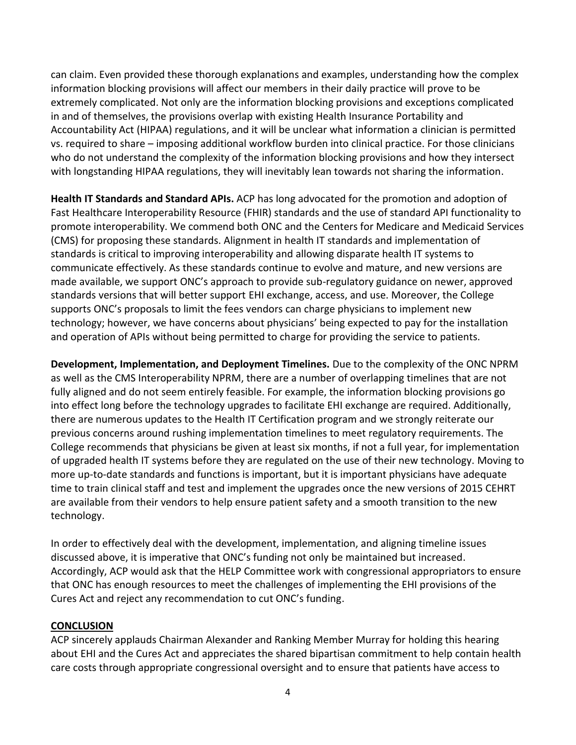can claim. Even provided these thorough explanations and examples, understanding how the complex information blocking provisions will affect our members in their daily practice will prove to be extremely complicated. Not only are the information blocking provisions and exceptions complicated in and of themselves, the provisions overlap with existing Health Insurance Portability and Accountability Act (HIPAA) regulations, and it will be unclear what information a clinician is permitted vs. required to share – imposing additional workflow burden into clinical practice. For those clinicians who do not understand the complexity of the information blocking provisions and how they intersect with longstanding HIPAA regulations, they will inevitably lean towards not sharing the information.

**Health IT Standards and Standard APIs.** ACP has long advocated for the promotion and adoption of Fast Healthcare Interoperability Resource (FHIR) standards and the use of standard API functionality to promote interoperability. We commend both ONC and the Centers for Medicare and Medicaid Services (CMS) for proposing these standards. Alignment in health IT standards and implementation of standards is critical to improving interoperability and allowing disparate health IT systems to communicate effectively. As these standards continue to evolve and mature, and new versions are made available, we support ONC's approach to provide sub-regulatory guidance on newer, approved standards versions that will better support EHI exchange, access, and use. Moreover, the College supports ONC's proposals to limit the fees vendors can charge physicians to implement new technology; however, we have concerns about physicians' being expected to pay for the installation and operation of APIs without being permitted to charge for providing the service to patients.

**Development, Implementation, and Deployment Timelines.** Due to the complexity of the ONC NPRM as well as the CMS Interoperability NPRM, there are a number of overlapping timelines that are not fully aligned and do not seem entirely feasible. For example, the information blocking provisions go into effect long before the technology upgrades to facilitate EHI exchange are required. Additionally, there are numerous updates to the Health IT Certification program and we strongly reiterate our previous concerns around rushing implementation timelines to meet regulatory requirements. The College recommends that physicians be given at least six months, if not a full year, for implementation of upgraded health IT systems before they are regulated on the use of their new technology. Moving to more up-to-date standards and functions is important, but it is important physicians have adequate time to train clinical staff and test and implement the upgrades once the new versions of 2015 CEHRT are available from their vendors to help ensure patient safety and a smooth transition to the new technology.

In order to effectively deal with the development, implementation, and aligning timeline issues discussed above, it is imperative that ONC's funding not only be maintained but increased. Accordingly, ACP would ask that the HELP Committee work with congressional appropriators to ensure that ONC has enough resources to meet the challenges of implementing the EHI provisions of the Cures Act and reject any recommendation to cut ONC's funding.

## **CONCLUSION**

ACP sincerely applauds Chairman Alexander and Ranking Member Murray for holding this hearing about EHI and the Cures Act and appreciates the shared bipartisan commitment to help contain health care costs through appropriate congressional oversight and to ensure that patients have access to